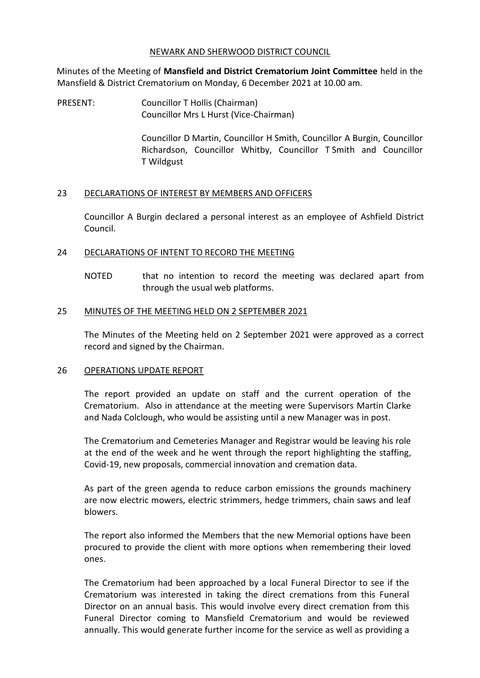### NEWARK AND SHERWOOD DISTRICT COUNCIL

Minutes of the Meeting of **Mansfield and District Crematorium Joint Committee** held in the Mansfield & District Crematorium on Monday, 6 December 2021 at 10.00 am.

PRESENT: Councillor T Hollis (Chairman) Councillor Mrs L Hurst (Vice-Chairman)

> Councillor D Martin, Councillor H Smith, Councillor A Burgin, Councillor Richardson, Councillor Whitby, Councillor T Smith and Councillor T Wildgust

# 23 DECLARATIONS OF INTEREST BY MEMBERS AND OFFICERS

Councillor A Burgin declared a personal interest as an employee of Ashfield District Council.

# 24 DECLARATIONS OF INTENT TO RECORD THE MEETING

NOTED that no intention to record the meeting was declared apart from through the usual web platforms.

# 25 MINUTES OF THE MEETING HELD ON 2 SEPTEMBER 2021

The Minutes of the Meeting held on 2 September 2021 were approved as a correct record and signed by the Chairman.

# 26 OPERATIONS UPDATE REPORT

The report provided an update on staff and the current operation of the Crematorium. Also in attendance at the meeting were Supervisors Martin Clarke and Nada Colclough, who would be assisting until a new Manager was in post.

The Crematorium and Cemeteries Manager and Registrar would be leaving his role at the end of the week and he went through the report highlighting the staffing, Covid-19, new proposals, commercial innovation and cremation data.

As part of the green agenda to reduce carbon emissions the grounds machinery are now electric mowers, electric strimmers, hedge trimmers, chain saws and leaf blowers.

The report also informed the Members that the new Memorial options have been procured to provide the client with more options when remembering their loved ones.

The Crematorium had been approached by a local Funeral Director to see if the Crematorium was interested in taking the direct cremations from this Funeral Director on an annual basis. This would involve every direct cremation from this Funeral Director coming to Mansfield Crematorium and would be reviewed annually. This would generate further income for the service as well as providing a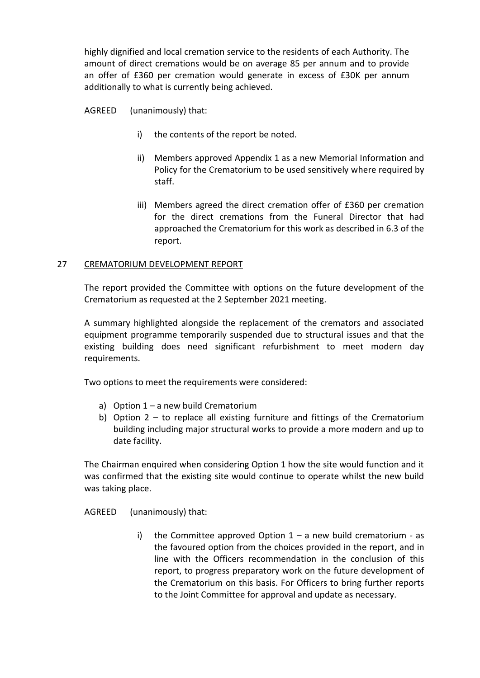highly dignified and local cremation service to the residents of each Authority. The amount of direct cremations would be on average 85 per annum and to provide an offer of £360 per cremation would generate in excess of £30K per annum additionally to what is currently being achieved.

AGREED (unanimously) that:

- i) the contents of the report be noted.
- ii) Members approved Appendix 1 as a new Memorial Information and Policy for the Crematorium to be used sensitively where required by staff.
- iii) Members agreed the direct cremation offer of £360 per cremation for the direct cremations from the Funeral Director that had approached the Crematorium for this work as described in 6.3 of the report.

# 27 CREMATORIUM DEVELOPMENT REPORT

The report provided the Committee with options on the future development of the Crematorium as requested at the 2 September 2021 meeting.

A summary highlighted alongside the replacement of the cremators and associated equipment programme temporarily suspended due to structural issues and that the existing building does need significant refurbishment to meet modern day requirements.

Two options to meet the requirements were considered:

- a) Option 1 a new build Crematorium
- b) Option 2 to replace all existing furniture and fittings of the Crematorium building including major structural works to provide a more modern and up to date facility.

The Chairman enquired when considering Option 1 how the site would function and it was confirmed that the existing site would continue to operate whilst the new build was taking place.

AGREED (unanimously) that:

i) the Committee approved Option  $1 - a$  new build crematorium - as the favoured option from the choices provided in the report, and in line with the Officers recommendation in the conclusion of this report, to progress preparatory work on the future development of the Crematorium on this basis. For Officers to bring further reports to the Joint Committee for approval and update as necessary.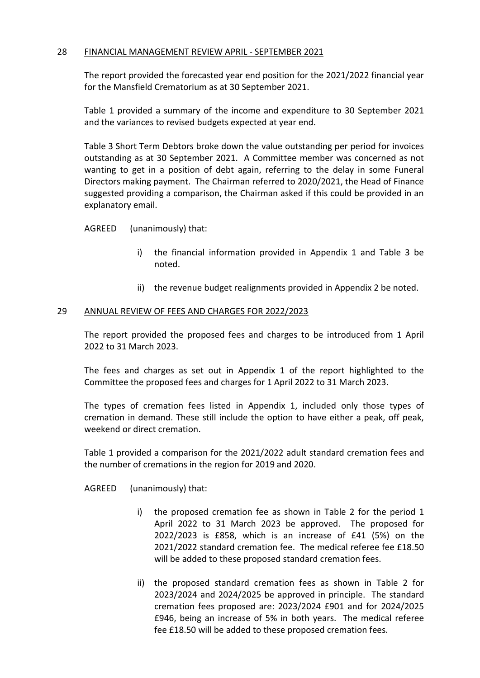### 28 FINANCIAL MANAGEMENT REVIEW APRIL - SEPTEMBER 2021

The report provided the forecasted year end position for the 2021/2022 financial year for the Mansfield Crematorium as at 30 September 2021.

Table 1 provided a summary of the income and expenditure to 30 September 2021 and the variances to revised budgets expected at year end.

Table 3 Short Term Debtors broke down the value outstanding per period for invoices outstanding as at 30 September 2021. A Committee member was concerned as not wanting to get in a position of debt again, referring to the delay in some Funeral Directors making payment. The Chairman referred to 2020/2021, the Head of Finance suggested providing a comparison, the Chairman asked if this could be provided in an explanatory email.

AGREED (unanimously) that:

- i) the financial information provided in Appendix 1 and Table 3 be noted.
- ii) the revenue budget realignments provided in Appendix 2 be noted.

### 29 ANNUAL REVIEW OF FEES AND CHARGES FOR 2022/2023

The report provided the proposed fees and charges to be introduced from 1 April 2022 to 31 March 2023.

The fees and charges as set out in Appendix 1 of the report highlighted to the Committee the proposed fees and charges for 1 April 2022 to 31 March 2023.

The types of cremation fees listed in Appendix 1, included only those types of cremation in demand. These still include the option to have either a peak, off peak, weekend or direct cremation.

Table 1 provided a comparison for the 2021/2022 adult standard cremation fees and the number of cremations in the region for 2019 and 2020.

AGREED (unanimously) that:

- i) the proposed cremation fee as shown in Table 2 for the period 1 April 2022 to 31 March 2023 be approved. The proposed for 2022/2023 is £858, which is an increase of £41 (5%) on the 2021/2022 standard cremation fee. The medical referee fee £18.50 will be added to these proposed standard cremation fees.
- ii) the proposed standard cremation fees as shown in Table 2 for 2023/2024 and 2024/2025 be approved in principle. The standard cremation fees proposed are: 2023/2024 £901 and for 2024/2025 £946, being an increase of 5% in both years. The medical referee fee £18.50 will be added to these proposed cremation fees.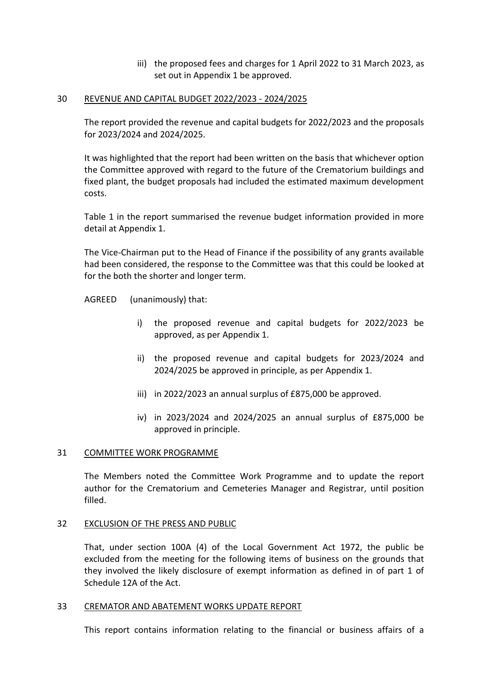iii) the proposed fees and charges for 1 April 2022 to 31 March 2023, as set out in Appendix 1 be approved.

### 30 REVENUE AND CAPITAL BUDGET 2022/2023 - 2024/2025

The report provided the revenue and capital budgets for 2022/2023 and the proposals for 2023/2024 and 2024/2025.

It was highlighted that the report had been written on the basis that whichever option the Committee approved with regard to the future of the Crematorium buildings and fixed plant, the budget proposals had included the estimated maximum development costs.

Table 1 in the report summarised the revenue budget information provided in more detail at Appendix 1.

The Vice-Chairman put to the Head of Finance if the possibility of any grants available had been considered, the response to the Committee was that this could be looked at for the both the shorter and longer term.

AGREED (unanimously) that:

- i) the proposed revenue and capital budgets for 2022/2023 be approved, as per Appendix 1.
- ii) the proposed revenue and capital budgets for 2023/2024 and 2024/2025 be approved in principle, as per Appendix 1.
- iii) in 2022/2023 an annual surplus of £875,000 be approved.
- iv) in 2023/2024 and 2024/2025 an annual surplus of £875,000 be approved in principle.

# 31 COMMITTEE WORK PROGRAMME

The Members noted the Committee Work Programme and to update the report author for the Crematorium and Cemeteries Manager and Registrar, until position filled.

#### 32 EXCLUSION OF THE PRESS AND PUBLIC

That, under section 100A (4) of the Local Government Act 1972, the public be excluded from the meeting for the following items of business on the grounds that they involved the likely disclosure of exempt information as defined in of part 1 of Schedule 12A of the Act.

#### 33 CREMATOR AND ABATEMENT WORKS UPDATE REPORT

This report contains information relating to the financial or business affairs of a